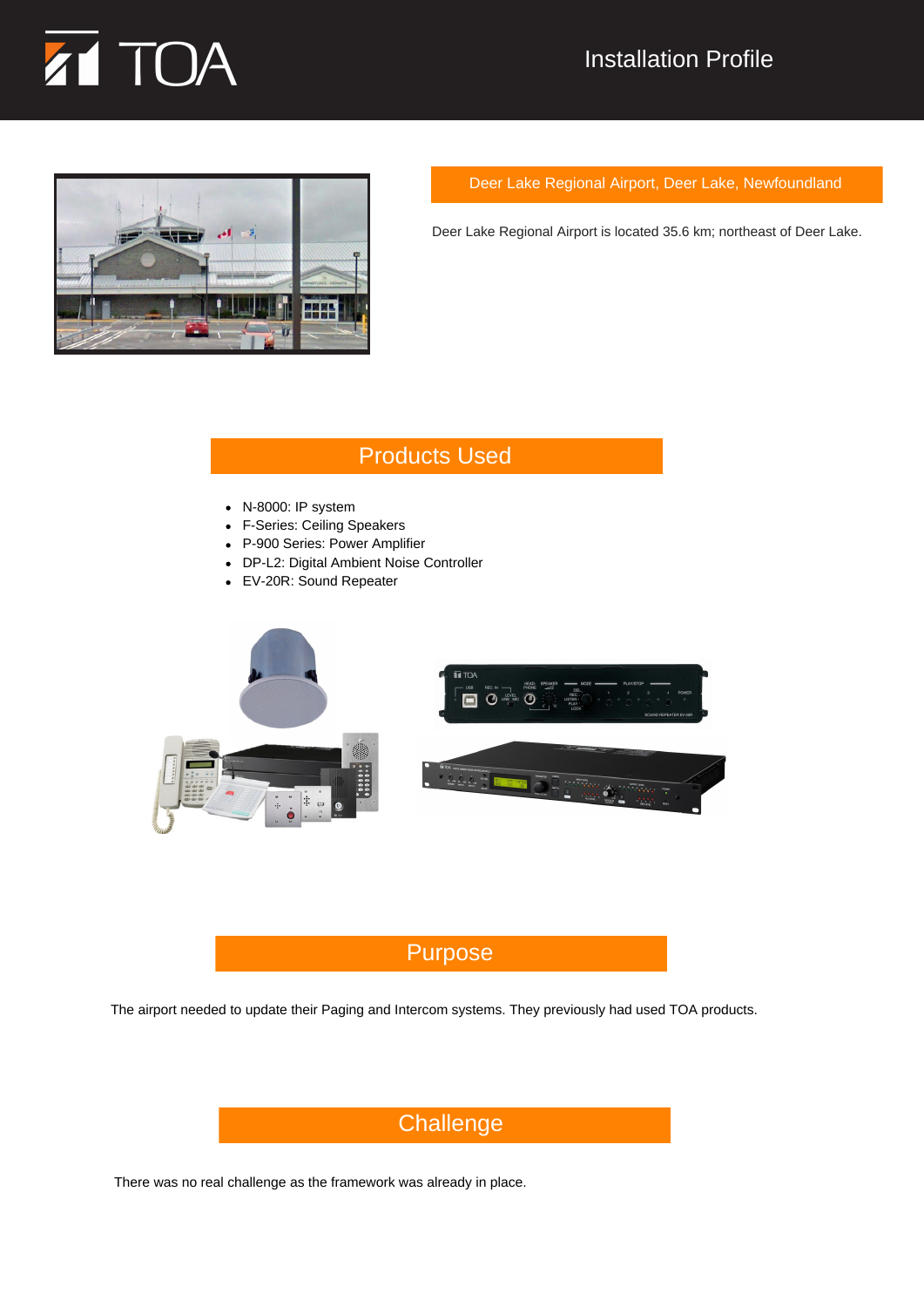

## Installation Profile



Deer Lake Regional Airport, Deer Lake, Newfoundland

Deer Lake Regional Airport is located 35.6 km; northeast of Deer Lake.

## Products Used

- N-8000: IP system
- F-Series: Ceiling Speakers
- P-900 Series: Power Amplifier
- DP-L2: Digital Ambient Noise Controller
- EV-20R: Sound Repeater



## Purpose

The airport needed to update their Paging and Intercom systems. They previously had used TOA products.

# **Challenge**

There was no real challenge as the framework was already in place.